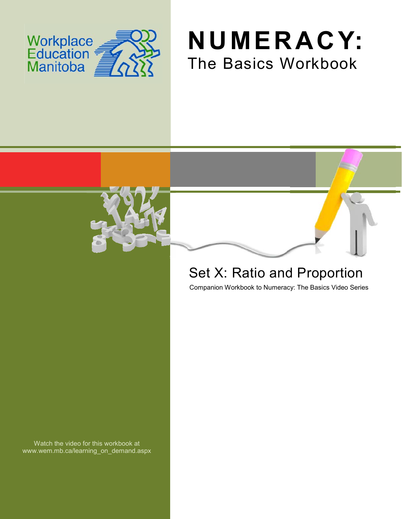





## Set X: Ratio and Proportion

Companion Workbook to Numeracy: The Basics Video Series

Watch the video for this workbook at www.wem.mb.ca/learning\_on\_demand.aspx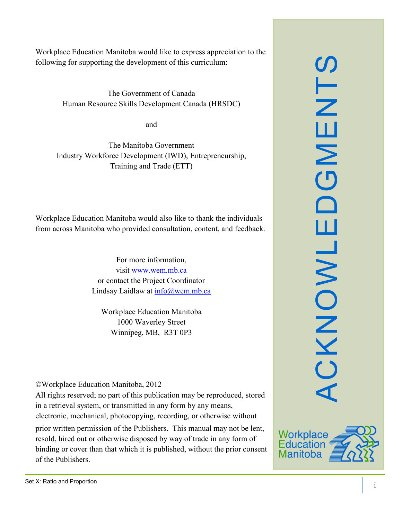Workplace Education Manitoba would like to express appreciation to the following for supporting the development of this curriculum:

> The Government of Canada Human Resource Skills Development Canada (HRSDC)

> > and

The Manitoba Government Industry Workforce Development (IWD), Entrepreneurship, Training and Trade (ETT)

Workplace Education Manitoba would also like to thank the individuals from across Manitoba who provided consultation, content, and feedback.

> For more information, visit [www.wem.mb.ca](http://www.wem.mb.ca/) or contact the Project Coordinator Lindsay Laidlaw at [info@wem.mb.ca](mailto:info@wem.mb.ca)

Workplace Education Manitoba 1000 Waverley Street Winnipeg, MB, R3T 0P3

©Workplace Education Manitoba, 2012

All rights reserved; no part of this publication may be reproduced, stored in a retrieval system, or transmitted in any form by any means, electronic, mechanical, photocopying, recording, or otherwise without

prior written permission of the Publishers. This manual may not be lent, resold, hired out or otherwise disposed by way of trade in any form of binding or cover than that which it is published, without the prior consent of the Publishers.



SLN

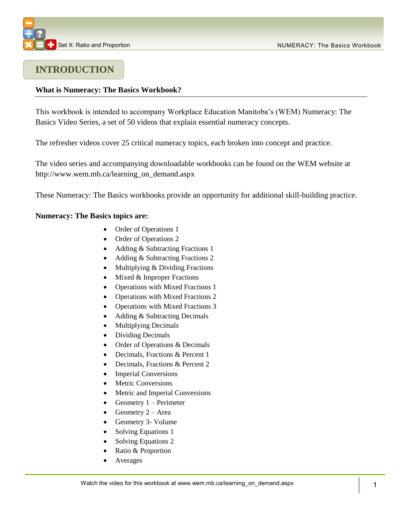

### **INTRODUCTION**

#### **What is Numeracy: The Basics Workbook?**

This workbook is intended to accompany Workplace Education Manitoba's (WEM) Numeracy: The Basics Video Series, a set of 50 videos that explain essential numeracy concepts.

The refresher videos cover 25 critical numeracy topics, each broken into concept and practice.

The video series and accompanying downloadable workbooks can be found on the WEM website at [http://www.wem.mb.ca/learning\\_on\\_demand.aspx](http://www.wem.mb.ca/learning_on_demand.aspx)

These Numeracy: The Basics workbooks provide an opportunity for additional skill-building practice.

#### **Numeracy: The Basics topics are:**

- Order of Operations 1
- Order of Operations 2
- Adding & Subtracting Fractions 1
- Adding & Subtracting Fractions 2
- Multiplying & Dividing Fractions
- $\bullet$  Mixed & Improper Fractions
- Operations with Mixed Fractions 1
- Operations with Mixed Fractions 2
- Operations with Mixed Fractions 3
- Adding & Subtracting Decimals
- Multiplying Decimals
- Dividing Decimals
- Order of Operations & Decimals
- Decimals, Fractions & Percent 1
- Decimals, Fractions & Percent 2
- Imperial Conversions
- Metric Conversions
- Metric and Imperial Conversions
- Geometry  $1 -$  Perimeter
- Geometry  $2 Area$
- Geometry 3- Volume
- Solving Equations 1
- Solving Equations 2
- Ratio & Proportion
- Averages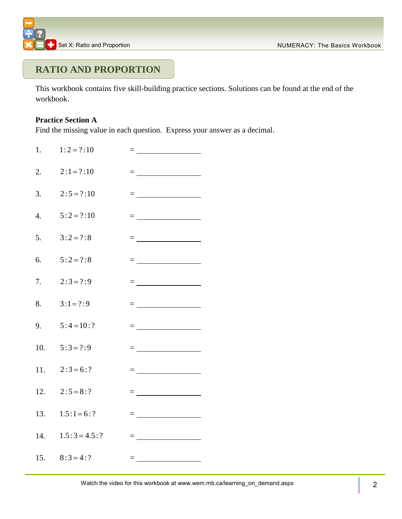## **RATIO AND PROPORTION**

This workbook contains five skill-building practice sections. Solutions can be found at the end of the workbook.

#### **Practice Section A**

Find the missing value in each question. Express your answer as a decimal.

| 1.               | $1:2 = ?:10$        |                                                                                                                                                                                                                                                                                                                                                                  |
|------------------|---------------------|------------------------------------------------------------------------------------------------------------------------------------------------------------------------------------------------------------------------------------------------------------------------------------------------------------------------------------------------------------------|
| 2.               | $2:1 = ?:10$        | = <u>___________________</u>                                                                                                                                                                                                                                                                                                                                     |
| 3.               | $2:5=?:10$          | = <u>__________________</u>                                                                                                                                                                                                                                                                                                                                      |
| $\overline{4}$ . | $5:2=?:10$          |                                                                                                                                                                                                                                                                                                                                                                  |
| 5.               | $3:2=?:8$           | = ______________________                                                                                                                                                                                                                                                                                                                                         |
| 6.               | $5:2=?:8$           |                                                                                                                                                                                                                                                                                                                                                                  |
| 7.               | $2:3 = ?:9$         | = ___________________                                                                                                                                                                                                                                                                                                                                            |
| 8.               | $3:1 = ?:9$         |                                                                                                                                                                                                                                                                                                                                                                  |
| 9.               | $5:4=10:?$          | = <u>__________________</u>                                                                                                                                                                                                                                                                                                                                      |
|                  | 10. $5:3 = ?:9$     | $\equiv$ and the set of the set of $\mathcal{L}$                                                                                                                                                                                                                                                                                                                 |
|                  | 11. $2:3=6:?$       | $=$ $\frac{1}{\sqrt{2\pi}}$ $\frac{1}{\sqrt{2\pi}}$ $\frac{1}{\sqrt{2\pi}}$ $\frac{1}{\sqrt{2\pi}}$ $\frac{1}{\sqrt{2\pi}}$ $\frac{1}{\sqrt{2\pi}}$ $\frac{1}{\sqrt{2\pi}}$ $\frac{1}{\sqrt{2\pi}}$ $\frac{1}{\sqrt{2\pi}}$ $\frac{1}{\sqrt{2\pi}}$ $\frac{1}{\sqrt{2\pi}}$ $\frac{1}{\sqrt{2\pi}}$ $\frac{1}{\sqrt{2\pi}}$ $\frac{1}{\sqrt{2\pi}}$ $\frac{1}{\$ |
|                  | 12. $2:5 = 8:?$     | = _____________________                                                                                                                                                                                                                                                                                                                                          |
|                  | 13. $1.5:1=6:?$     | = _______________________                                                                                                                                                                                                                                                                                                                                        |
|                  | 14. $1.5:3 = 4.5:?$ | = <u>_________________</u>                                                                                                                                                                                                                                                                                                                                       |
|                  | 15. $8:3 = 4:?$     | = <u>__________________</u>                                                                                                                                                                                                                                                                                                                                      |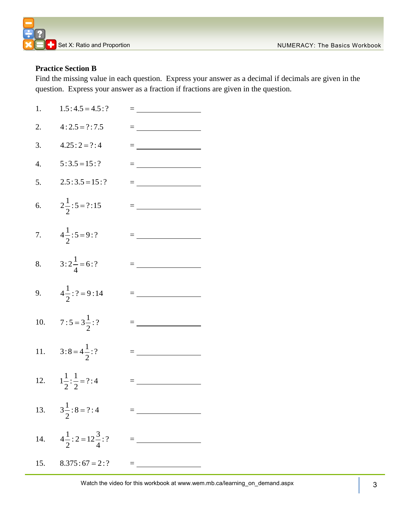

#### **Practice Section B**

Find the missing value in each question. Express your answer as a decimal if decimals are given in the question. Express your answer as a fraction if fractions are given in the question.

| 1.               | $1.5:4.5=4.5:?$                               | $=$ $\frac{1}{\sqrt{2\pi}}$ . The set of $\frac{1}{2}$                                                                                                                                                                                                                                                                                                           |
|------------------|-----------------------------------------------|------------------------------------------------------------------------------------------------------------------------------------------------------------------------------------------------------------------------------------------------------------------------------------------------------------------------------------------------------------------|
| 2.               | $4:2.5 = ?:7.5$                               |                                                                                                                                                                                                                                                                                                                                                                  |
| 3.               | $4.25:2 = ?:4$                                | $=$ $\frac{1}{\sqrt{2\pi}}$ $\frac{1}{\sqrt{2\pi}}$ $\frac{1}{\sqrt{2\pi}}$ $\frac{1}{\sqrt{2\pi}}$ $\frac{1}{\sqrt{2\pi}}$ $\frac{1}{\sqrt{2\pi}}$ $\frac{1}{\sqrt{2\pi}}$ $\frac{1}{\sqrt{2\pi}}$ $\frac{1}{\sqrt{2\pi}}$ $\frac{1}{\sqrt{2\pi}}$ $\frac{1}{\sqrt{2\pi}}$ $\frac{1}{\sqrt{2\pi}}$ $\frac{1}{\sqrt{2\pi}}$ $\frac{1}{\sqrt{2\pi}}$ $\frac{1}{\$ |
| $\overline{4}$ . | $5:3.5 = 15:?$                                |                                                                                                                                                                                                                                                                                                                                                                  |
| 5.               | $2.5:3.5=15:?$                                | = ____________________                                                                                                                                                                                                                                                                                                                                           |
| 6.               | $2\frac{1}{2}$ : 5 = ?: 15                    |                                                                                                                                                                                                                                                                                                                                                                  |
| 7.               | $4\frac{1}{2}$ : 5 = 9: ?                     |                                                                                                                                                                                                                                                                                                                                                                  |
| 8.               | $3:2\frac{1}{4}=6:?$                          |                                                                                                                                                                                                                                                                                                                                                                  |
| 9.               | $4\frac{1}{2}$ : ? = 9:14                     |                                                                                                                                                                                                                                                                                                                                                                  |
|                  | 10. $7:5 = 3\frac{1}{2}$ :?                   |                                                                                                                                                                                                                                                                                                                                                                  |
|                  | 11. $3:8 = 4\frac{1}{2}$ :?                   |                                                                                                                                                                                                                                                                                                                                                                  |
|                  | 12. $1\frac{1}{2}:\frac{1}{2}=?:4$            | $=$ $\frac{1}{\sqrt{2\pi}}$ $\frac{1}{\sqrt{2\pi}}$ $\frac{1}{\sqrt{2\pi}}$ $\frac{1}{\sqrt{2\pi}}$ $\frac{1}{\sqrt{2\pi}}$ $\frac{1}{\sqrt{2\pi}}$ $\frac{1}{\sqrt{2\pi}}$ $\frac{1}{\sqrt{2\pi}}$ $\frac{1}{\sqrt{2\pi}}$ $\frac{1}{\sqrt{2\pi}}$ $\frac{1}{\sqrt{2\pi}}$ $\frac{1}{\sqrt{2\pi}}$ $\frac{1}{\sqrt{2\pi}}$ $\frac{1}{\sqrt{2\pi}}$ $\frac{1}{\$ |
|                  | 13. $3\frac{1}{2}$ : 8 = ?: 4                 |                                                                                                                                                                                                                                                                                                                                                                  |
|                  | 14. $4\frac{1}{2}$ : 2 = 12 $\frac{3}{4}$ : ? | = _______________                                                                                                                                                                                                                                                                                                                                                |
|                  | 15. $8.375:67 = 2:?$                          |                                                                                                                                                                                                                                                                                                                                                                  |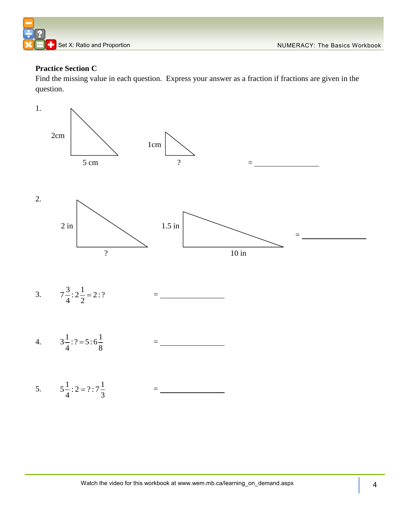

#### **Practice Section C**

Find the missing value in each question. Express your answer as a fraction if fractions are given in the question.

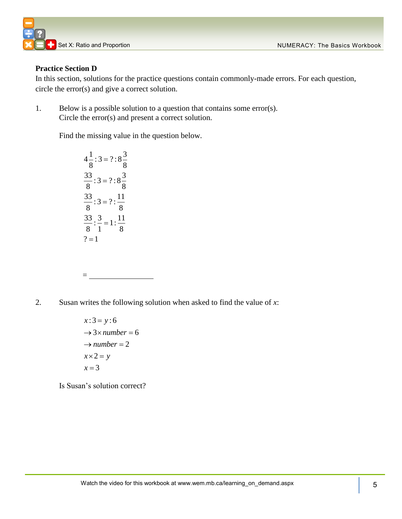

#### **Practice Section D**

In this section, solutions for the practice questions contain commonly-made errors. For each question, circle the error(s) and give a correct solution.

1. Below is a possible solution to a question that contains some error(s). Circle the error(s) and present a correct solution.

Find the missing value in the question below.

 $4\frac{1}{2}$ : 3 = ?: 8 $\frac{3}{2}$ 8 8  $\frac{33}{2}$ : 3 = ?: 8 $\frac{3}{2}$ 8 8  $\frac{33}{2}$ : 3 = ? :  $\frac{11}{2}$ 8 8  $\frac{33}{2}$ :  $\frac{3}{1}$  = 1:  $\frac{11}{2}$ 8 1 8  $? = 1$  $=$  $=$  $=$  $=$ 

=

2. Susan writes the following solution when asked to find the value of *x*:

 $x:3 = y:6$  $\rightarrow$  3× *number* = 6  $\rightarrow$  *number* = 2  $x \times 2 = y$  $x = 3$ 

Is Susan's solution correct?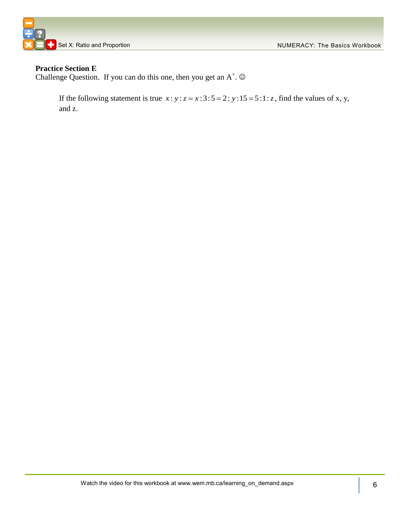



#### **Practice Section E**

Challenge Question. If you can do this one, then you get an  $A^+$ .  $\odot$ 

If the following statement is true  $x : y : z = x : 3 : 5 = 2 : y : 15 = 5 : 1 : z$ , find the values of x, y, and z.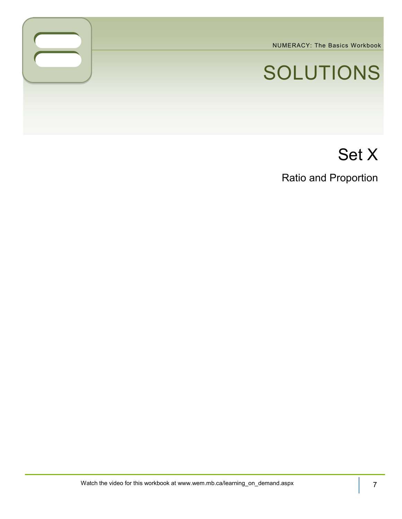NUMERACY: The Basics Workbook

# SOLUTIONS

## Set X

Ratio and Proportion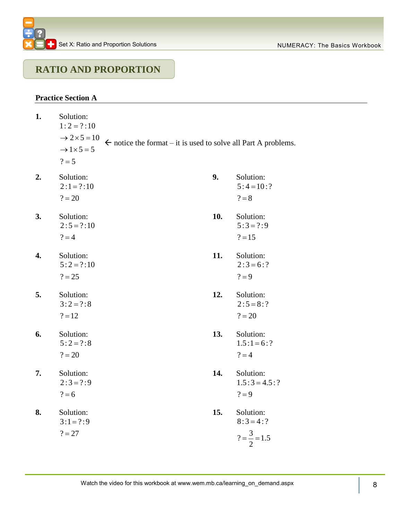### **RATIO AND PROPORTION**

#### **Practice Section A**

| 1. | Solution:<br>$1:2=?:10$         |                                                                           |     |                     |
|----|---------------------------------|---------------------------------------------------------------------------|-----|---------------------|
|    | $\rightarrow$ 2 $\times$ 5 = 10 | $\leftarrow$ notice the format – it is used to solve all Part A problems. |     |                     |
|    | $\rightarrow$ 1 $\times$ 5 = 5  |                                                                           |     |                     |
|    | $? = 5$                         |                                                                           |     |                     |
| 2. | Solution:                       |                                                                           | 9.  | Solution:           |
|    | $2:1 = ?:10$                    |                                                                           |     | $5:4=10:?$          |
|    | $? = 20$                        |                                                                           |     | $? = 8$             |
| 3. | Solution:                       |                                                                           | 10. | Solution:           |
|    | $2:5 = ?:10$                    |                                                                           |     | $5:3 = ?:9$         |
|    | $? = 4$                         |                                                                           |     | $? = 15$            |
| 4. | Solution:                       |                                                                           | 11. | Solution:           |
|    | $5:2=?:10$                      |                                                                           |     | $2:3 = 6:?$         |
|    | $? = 25$                        |                                                                           |     | $? = 9$             |
| 5. | Solution:                       |                                                                           | 12. | Solution:           |
|    | $3:2=?:8$                       |                                                                           |     | $2:5 = 8:?$         |
|    | $? = 12$                        |                                                                           |     | $? = 20$            |
| 6. | Solution:                       |                                                                           | 13. | Solution:           |
|    | $5:2=?:8$                       |                                                                           |     | $1.5:1=6:?$         |
|    | $? = 20$                        |                                                                           |     | $? = 4$             |
| 7. | Solution:                       |                                                                           | 14. | Solution:           |
|    | $2:3 = ?:9$                     |                                                                           |     | $1.5:3 = 4.5:?$     |
|    | $? = 6$                         |                                                                           |     | $? = 9$             |
| 8. | Solution:                       |                                                                           | 15. | Solution:           |
|    | $3:1 = ?:9$                     |                                                                           |     | $8:3 = 4:?$         |
|    | $? = 27$                        |                                                                           |     | $?=\frac{3}{2}=1.5$ |
|    |                                 |                                                                           |     |                     |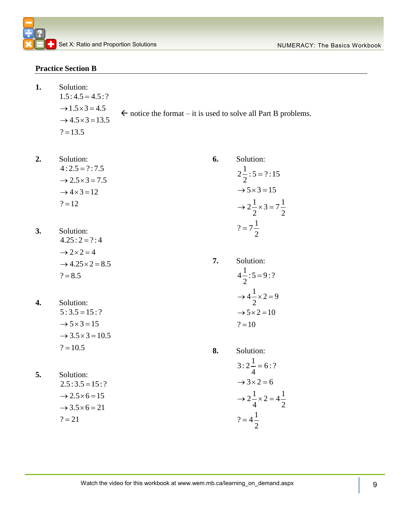#### **Practice Section B**

**1.** 

| Solution:<br>$1.5:4.5 = 4.5:?$      |                                                                           |
|-------------------------------------|---------------------------------------------------------------------------|
| $\rightarrow$ 1.5 $\times$ 3 = 4.5  | $\leftarrow$ notice the format – it is used to solve all Part B problems. |
| $\rightarrow$ 4.5 $\times$ 3 = 13.5 |                                                                           |
| $? = 13.5$                          |                                                                           |

- **2.** Solution:  $4:2.5 = ?:7.5$  $\rightarrow$  2.5  $\times$  3 = 7.5  $\rightarrow$  4  $\times$  3 = 12  $? = 12$
- **3.** Solution:  $4.25: 2 = ?: 4$  $\rightarrow$  2  $\times$  2 = 4  $\rightarrow$  4.25  $\times$  2 = 8.5  $? = 8.5$
- **4.** Solution:  $5:3.5 = 15:?$  $\rightarrow$  5  $\times$  3 = 15  $\rightarrow$  3.5  $\times$  3 = 10.5  $? = 10.5$
- **5.** Solution:  $2.5:3.5 = 15:$ ?  $\rightarrow$  2.5  $\times$  6 = 15  $\rightarrow$  3.5  $\times$  6 = 21  $? = 21$

 $2\frac{1}{2}$ : 5 = ?:15 2  $\rightarrow$  5  $\times$  3 = 15  $2\frac{1}{2} \times 3 = 7\frac{1}{2}$  $2^{\sim}$  2  $? = 7\frac{1}{2}$ 2  $=$  $\rightarrow$  2 $\frac{1}{2} \times 3 = 7$  $=$ **7.** Solution:  $4\frac{1}{2}$ : 5 = 9: ? 2  $4\frac{1}{2}\times2=9$ 2  $\rightarrow$  5  $\times$  2 = 10  $=$  $\rightarrow$  4  $\frac{1}{2}$   $\times$  2 = 9

**6.** Solution:

$$
? = 10
$$

**8.** Solution:  $3: 2\frac{1}{1} = 6:?$ 4  $\rightarrow$  3  $\times$  2 = 6  $2\frac{1}{1} \times 2 = 4\frac{1}{2}$  $4 \binom{2}{1}$  $? = 4\frac{1}{3}$ 2  $=$  $\rightarrow$  2  $\frac{1}{2} \times 2 = 4$  $=$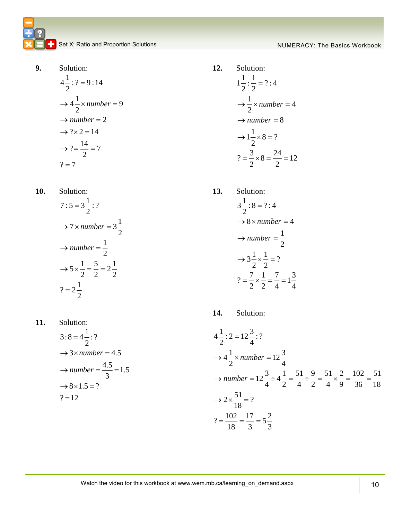**9.** Solution:

$$
4\frac{1}{2} : ? = 9 : 14
$$
  
\n
$$
\rightarrow 4\frac{1}{2} \times number = 9
$$
  
\n
$$
\rightarrow number = 2
$$
  
\n
$$
\rightarrow ? \times 2 = 14
$$
  
\n
$$
\rightarrow ? = \frac{14}{2} = 7
$$
  
\n
$$
? = 7
$$

**10.** Solution:

$$
7:5 = 3\frac{1}{2}:?
$$
  
\n
$$
\rightarrow 7 \times number = 3\frac{1}{2}
$$
  
\n
$$
\rightarrow number = \frac{1}{2}
$$
  
\n
$$
\rightarrow 5 \times \frac{1}{2} = \frac{5}{2} = 2\frac{1}{2}
$$
  
\n
$$
? = 2\frac{1}{2}
$$

11. Solution:  
\n
$$
3:8 = 4\frac{1}{2}:?
$$
\n
$$
\rightarrow 3 \times number = 4.5
$$
\n
$$
\rightarrow number = \frac{4.5}{3} = 1.5
$$
\n
$$
\rightarrow 8 \times 1.5 = ?
$$
\n
$$
? = 12
$$

**12.** Solution:

$$
1\frac{1}{2} : \frac{1}{2} = ? : 4
$$
  
\n
$$
\rightarrow \frac{1}{2} \times number = 4
$$
  
\n
$$
\rightarrow number = 8
$$
  
\n
$$
\rightarrow 1\frac{1}{2} \times 8 = ?
$$
  
\n
$$
? = \frac{3}{2} \times 8 = \frac{24}{2} = 12
$$

**13.** Solution:  $3\frac{1}{2}$ : 8 = ?: 4 2  $\rightarrow$  8  $\times$  *number* = 4 1 2  $3\frac{1}{2} \times \frac{1}{2} = ?$  $\frac{1}{2}$   $\frac{1}{2}$  $? = \frac{7}{2} \times \frac{1}{2} = \frac{7}{4} = 1\frac{3}{4}$  $\frac{1}{2}$   $\frac{2}{2}$   $\frac{1}{4}$   $\frac{1}{4}$  $\rightarrow$  *number* =  $\frac{1}{2}$  $=$  $\rightarrow$  3 $\frac{1}{2} \times \frac{1}{2} = ?$  $=\frac{7}{2} \times \frac{1}{2} = \frac{7}{1} = 1$ 

14. Solution:  
\n
$$
4\frac{1}{2} : 2 = 12\frac{3}{4} : ?
$$
\n
$$
\rightarrow 4\frac{1}{2} \times number = 12\frac{3}{4}
$$
\n
$$
\rightarrow number = 12\frac{3}{4} \div 4\frac{1}{2} = \frac{51}{4} \div \frac{9}{2} = \frac{51}{4} \times \frac{2}{9} = \frac{102}{36} = \frac{51}{18}
$$
\n
$$
\rightarrow 2 \times \frac{51}{18} = ?
$$
\n
$$
? = \frac{102}{18} = \frac{17}{3} = 5\frac{2}{3}
$$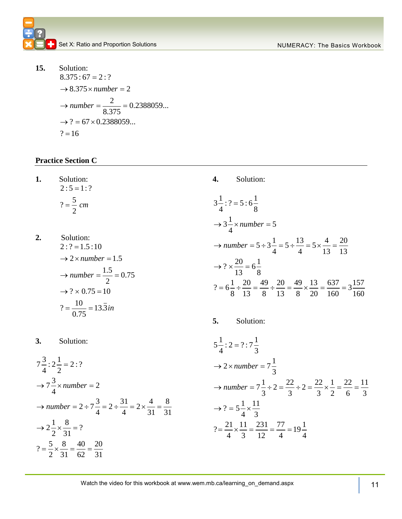

**15.** Solution: Solution:<br> $8.375:67 = 2:?$  $8.375:67 = 2:7$ <br>  $\rightarrow 8.375 \times number = 2$  $\frac{2}{2}$  = 0.2388059... 8.375  $8.375$ <br>  $\rightarrow$  ? = 67 × 0.2388059...  $\rightarrow$  : =<br>? = 16  $\rightarrow$  *number* =  $\frac{2}{8.275}$  = 0.23

#### **Practice Section C**

**1.** Solution:  $2:5 = 1:?$  $? = \frac{5}{3}$ 2  $=\frac{3}{2}$  cm

**3.** Solution:

2. Solution:  
\n
$$
2: ? = 1.5:10
$$
\n
$$
\rightarrow 2 \times number = 1.5
$$
\n
$$
\rightarrow number = \frac{1.5}{2} = 0.75
$$
\n
$$
\rightarrow ? \times 0.75 = 10
$$
\n
$$
? = \frac{10}{0.75} = 13.\overline{3}in
$$

**4.** Solution: 3 $\frac{1}{4}$  : ? = 5 : 6 $\frac{1}{8}$  $\frac{1}{4}$ : ? = 5 : 6 $\frac{1}{8}$ 1  $3\frac{1}{4} \times number = 5$  $per = 5$ <br>  $5 \div 3\frac{1}{4} = 5 \div \frac{13}{4} = 5 \times \frac{4}{13} = \frac{20}{13}$  $\frac{1}{4}$  = 5 ÷  $\frac{13}{4}$  = 5 ×  $\frac{4}{13}$  =  $\frac{20}{13}$ number = 5<br> $? \times \frac{20}{13} = 6\frac{1}{8}$  $\frac{20}{13} = 6\frac{1}{8}$  $\rightarrow$  ?  $\times \frac{1}{13} = 6\frac{1}{8}$ <br> $? = 6\frac{1}{8} \div \frac{20}{13} = \frac{49}{8} \div \frac{20}{13} = \frac{49}{8} \times \frac{13}{20} = \frac{637}{160} = 3\frac{157}{160}$  $\frac{1}{8} \div \frac{20}{13} = \frac{49}{8} \div \frac{20}{13} = \frac{49}{8} \times \frac{13}{20} = \frac{637}{160} = 3\frac{157}{160}$ 4 8<br> $\rightarrow$  3 $\frac{1}{4}$  × number = 5 4<br> $\rightarrow$  *number* = 5 \pi 3 \frac{1}{1}{1} = 5 \pi \frac{1}{1}{1} =  $\frac{20}{13}$  $=$  $\rightarrow ? \times \frac{20}{13} = 6\frac{1}{8}$ 13 8<br>=  $6\frac{1}{8} \div \frac{20}{13} = \frac{49}{8} \div \frac{20}{13} = \frac{49}{8} \times \frac{13}{20} = \frac{637}{160} = 3\frac{157}{160}$ **5.** Solution: 5. Solutions<br> $5\frac{1}{4}$ : 2 = ? : 7 $\frac{1}{3}$  $\frac{1}{4}$ : 2 = ? : 7 $\frac{1}{3}$ 1  $2 \times number = 7\frac{1}{3}$  $r = 7\frac{1}{3}$ <br>  $7\frac{1}{3} \div 2 = \frac{22}{3} \div 2 = \frac{22}{3} \times \frac{1}{2} = \frac{22}{6} = \frac{11}{3}$  $\frac{1}{3} \div 2 = \frac{22}{3} \div 2 = \frac{22}{3} \times \frac{1}{2} = \frac{22}{6} = \frac{11}{3}$ *number* = 7<br> $? = 5\frac{1}{4} \times \frac{11}{3}$  $\rightarrow$  2 × *number* =  $7\frac{1}{3}$  $\rightarrow$  number =  $7\frac{1}{3} \div 2 = \frac{22}{3} \div 2 = \frac{22}{3} \times \frac{1}{2} = \frac{22}{6} = \frac{11}{3}$  $=$ 

 $\frac{1}{4} \times \frac{11}{3}$ 

 $\frac{21}{4} \times \frac{11}{3} = \frac{231}{12} = \frac{77}{4} = 19\frac{1}{4}$ 

$$
5\frac{1}{4} : 2 = ? : 7\frac{3}{4} \rightarrow 2 \times number = 7\frac{1}{3}
$$
  
\n
$$
7\frac{3}{4} \times number = 2
$$
  
\n
$$
\rightarrow number = 2 \div 7\frac{3}{4} = 2 \div \frac{31}{4} = 2 \times \frac{4}{31} = \frac{8}{31}
$$
  
\n
$$
\rightarrow 2\frac{1}{2} \times \frac{8}{31} = ?
$$
  
\n
$$
7\frac{1}{2} \times \frac{8}{31} = ?
$$
  
\n
$$
7\frac{1}{2} \times \frac{8}{31} = ?
$$
  
\n
$$
7\frac{1}{2} \times \frac{8}{31} = ?
$$
  
\n
$$
7\frac{1}{2} \times \frac{8}{31} = ?
$$
  
\n
$$
7\frac{1}{2} \times \frac{8}{31} = ?
$$
  
\n
$$
7\frac{1}{2} \times \frac{8}{31} = ?
$$
  
\n
$$
7\frac{1}{2} \times \frac{8}{31} = ?
$$
  
\n
$$
7\frac{1}{2} \times \frac{8}{31} = ?
$$
  
\n
$$
7\frac{1}{2} \times \frac{8}{31} = ?
$$
  
\n
$$
7\frac{1}{2} \times \frac{8}{31} = ?
$$
  
\n
$$
7\frac{1}{2} \times \frac{8}{31} = ?
$$
  
\n
$$
7\frac{1}{2} \times \frac{8}{31} = ?
$$
  
\n
$$
7\frac{1}{2} \times \frac{8}{31} = ?
$$
  
\n
$$
7\frac{1}{2} \times \frac{8}{31} = ?
$$
  
\n
$$
7\frac{1}{2} \times \frac{8}{31} = ?
$$
  
\n
$$
7\frac{1}{2} \times \frac{8}{31} = ?
$$
  
\n
$$
7\frac{1}{2} \times \frac{8}{31} = ?
$$
  
\n
$$
7\frac{1}{2} \times \frac{8}{31} = ?
$$
  
\n
$$
7\frac{3}{4} \times
$$

Watch the video for t 11 his workbook at www.wem.mb.ca/learning\_on\_demand.aspx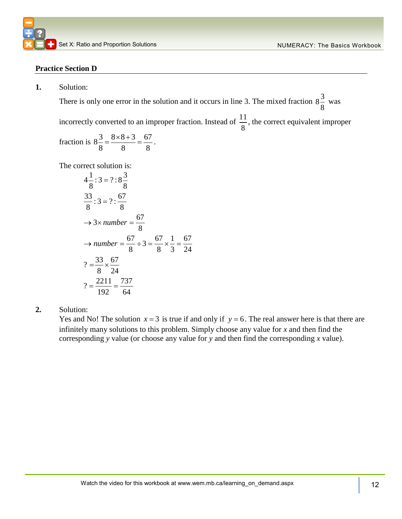#### **Practice Section D**

**1.** Solution:

There is only one error in the solution and it occurs in line 3. The mixed fraction  $8\frac{3}{5}$ 8 was

incorrectly converted to an improper fraction. Instead of  $\frac{11}{5}$ 8 , the correct equivalent improper

fraction is 
$$
8\frac{3}{8} = \frac{8 \times 8 + 3}{8} = \frac{67}{8}
$$
.

The correct solution is:  
\n
$$
4\frac{1}{8} : 3 = ? : 8\frac{3}{8}
$$
  
\n $\frac{33}{8} : 3 = ? : \frac{67}{8}$   
\n $\rightarrow 3 \times number = \frac{67}{8}$   
\n $\rightarrow number = \frac{67}{8} \div 3 = \frac{67}{8} \times \frac{1}{3} = \frac{67}{24}$   
\n $? = \frac{33}{8} \times \frac{67}{24}$   
\n $? = \frac{2211}{192} = \frac{737}{64}$ 

**2.** Solution:

Yes and No! The solution  $x = 3$  is true if and only if  $y = 6$ . The real answer here is that there are infinitely many solutions to this problem. Simply choose any value for *x* and then find the corresponding *y* value (or choose any value for *y* and then find the corresponding *x* value).